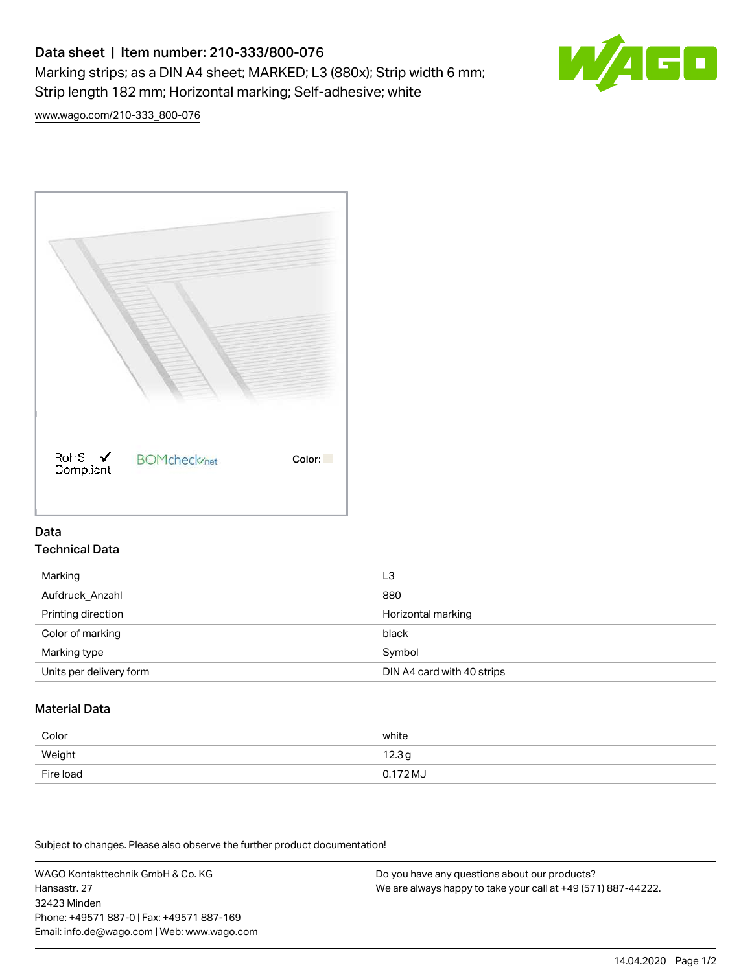# Data sheet | Item number: 210-333/800-076 Marking strips; as a DIN A4 sheet; MARKED; L3 (880x); Strip width 6 mm; Strip length 182 mm; Horizontal marking; Self-adhesive; white



[www.wago.com/210-333\\_800-076](http://www.wago.com/210-333_800-076)



#### Data Technical Data

| Marking                 | L3                         |
|-------------------------|----------------------------|
| Aufdruck Anzahl         | 880                        |
| Printing direction      | Horizontal marking         |
| Color of marking        | black                      |
| Marking type            | Symbol                     |
| Units per delivery form | DIN A4 card with 40 strips |

## Material Data

| Color     | white               |
|-----------|---------------------|
| Weight    | 12.3g               |
| Fire load | $0.172 \mathrm{MJ}$ |

Subject to changes. Please also observe the further product documentation!

WAGO Kontakttechnik GmbH & Co. KG Hansastr. 27 32423 Minden Phone: +49571 887-0 | Fax: +49571 887-169 Email: info.de@wago.com | Web: www.wago.com

Do you have any questions about our products? We are always happy to take your call at +49 (571) 887-44222.